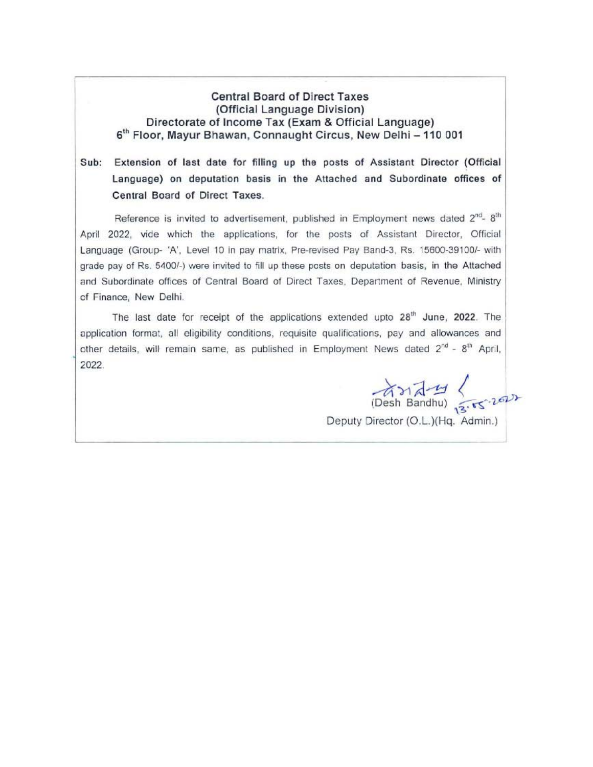## **Central Board of Direct Taxes** (Official Language Division) Directorate of Income Tax (Exam & Official Language) 6<sup>th</sup> Floor, Mayur Bhawan, Connaught Circus, New Delhi - 110 001

## Sub: Extension of last date for filling up the posts of Assistant Director (Official Language) on deputation basis in the Attached and Subordinate offices of Central Board of Direct Taxes.

Reference is invited to advertisement, published in Employment news dated 2<sup>nd</sup>-8<sup>th</sup> April 2022, vide which the applications, for the posts of Assistant Director, Official Language (Group- 'A', Level 10 in pay matrix, Pre-revised Pay Band-3, Rs. 15600-39100/- with grade pay of Rs. 5400/-) were invited to fill up these posts on deputation basis, in the Attached and Subordinate offices of Central Board of Direct Taxes, Department of Revenue, Ministry of Finance, New Delhi.

The last date for receipt of the applications extended upto 28<sup>th</sup> June, 2022. The application format, all eligibility conditions, requisite qualifications, pay and allowances and other details, will remain same, as published in Employment News dated 2<sup>nd</sup> - 8<sup>th</sup> April, 2022

 $(Desk Bandhu)$   $\frac{1}{3.55.200}$ Deputy Director (O.L.)(Hq. Admin.)